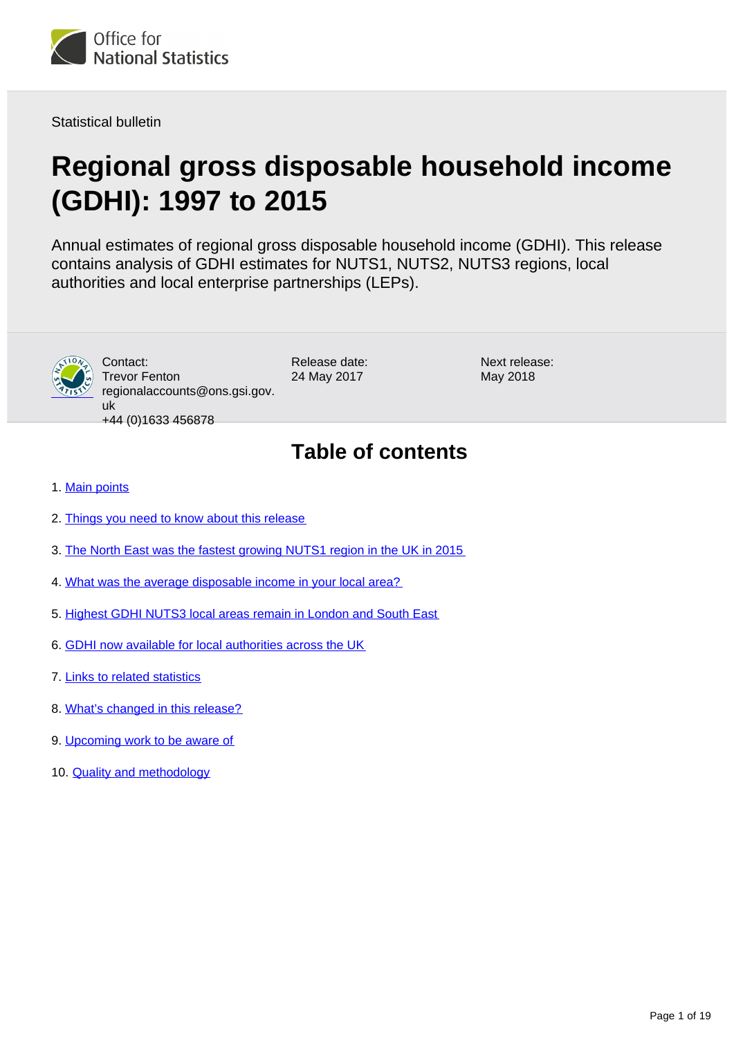

Statistical bulletin

# **Regional gross disposable household income (GDHI): 1997 to 2015**

Annual estimates of regional gross disposable household income (GDHI). This release contains analysis of GDHI estimates for NUTS1, NUTS2, NUTS3 regions, local authorities and local enterprise partnerships (LEPs).



Contact: Trevor Fenton regionalaccounts@ons.gsi.gov. uk +44 (0)1633 456878

Release date: 24 May 2017

Next release: May 2018

## **Table of contents**

- 1. [Main points](#page-1-0)
- 2. [Things you need to know about this release](#page-1-1)
- 3. [The North East was the fastest growing NUTS1 region in the UK in 2015](#page-2-0)
- 4. [What was the average disposable income in your local area?](#page-9-0)
- 5. [Highest GDHI NUTS3 local areas remain in London and South East](#page-9-1)
- 6. [GDHI now available for local authorities across the UK](#page-11-0)
- 7. [Links to related statistics](#page-15-0)
- 8. [What's changed in this release?](#page-16-0)
- 9. [Upcoming work to be aware of](#page-16-1)
- 10. [Quality and methodology](#page-17-0)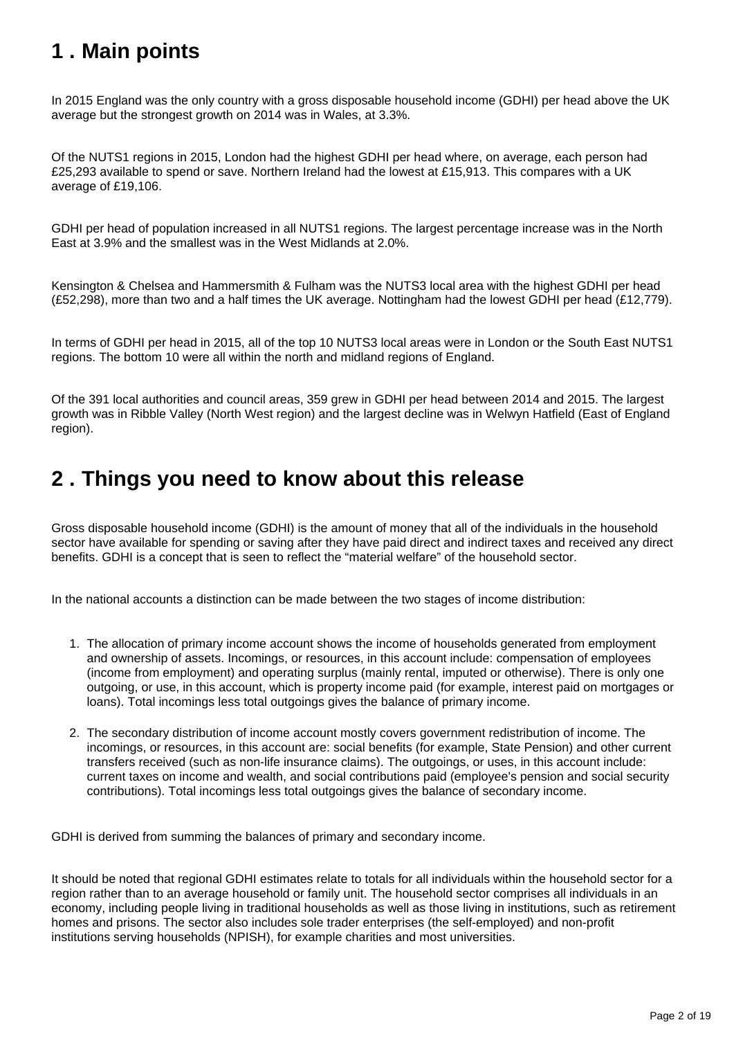## <span id="page-1-0"></span>**1 . Main points**

In 2015 England was the only country with a gross disposable household income (GDHI) per head above the UK average but the strongest growth on 2014 was in Wales, at 3.3%.

Of the NUTS1 regions in 2015, London had the highest GDHI per head where, on average, each person had £25,293 available to spend or save. Northern Ireland had the lowest at £15,913. This compares with a UK average of £19,106.

GDHI per head of population increased in all NUTS1 regions. The largest percentage increase was in the North East at 3.9% and the smallest was in the West Midlands at 2.0%.

Kensington & Chelsea and Hammersmith & Fulham was the NUTS3 local area with the highest GDHI per head (£52,298), more than two and a half times the UK average. Nottingham had the lowest GDHI per head (£12,779).

In terms of GDHI per head in 2015, all of the top 10 NUTS3 local areas were in London or the South East NUTS1 regions. The bottom 10 were all within the north and midland regions of England.

Of the 391 local authorities and council areas, 359 grew in GDHI per head between 2014 and 2015. The largest growth was in Ribble Valley (North West region) and the largest decline was in Welwyn Hatfield (East of England region).

### <span id="page-1-1"></span>**2 . Things you need to know about this release**

Gross disposable household income (GDHI) is the amount of money that all of the individuals in the household sector have available for spending or saving after they have paid direct and indirect taxes and received any direct benefits. GDHI is a concept that is seen to reflect the "material welfare" of the household sector.

In the national accounts a distinction can be made between the two stages of income distribution:

- 1. The allocation of primary income account shows the income of households generated from employment and ownership of assets. Incomings, or resources, in this account include: compensation of employees (income from employment) and operating surplus (mainly rental, imputed or otherwise). There is only one outgoing, or use, in this account, which is property income paid (for example, interest paid on mortgages or loans). Total incomings less total outgoings gives the balance of primary income.
- 2. The secondary distribution of income account mostly covers government redistribution of income. The incomings, or resources, in this account are: social benefits (for example, State Pension) and other current transfers received (such as non-life insurance claims). The outgoings, or uses, in this account include: current taxes on income and wealth, and social contributions paid (employee's pension and social security contributions). Total incomings less total outgoings gives the balance of secondary income.

GDHI is derived from summing the balances of primary and secondary income.

It should be noted that regional GDHI estimates relate to totals for all individuals within the household sector for a region rather than to an average household or family unit. The household sector comprises all individuals in an economy, including people living in traditional households as well as those living in institutions, such as retirement homes and prisons. The sector also includes sole trader enterprises (the self-employed) and non-profit institutions serving households (NPISH), for example charities and most universities.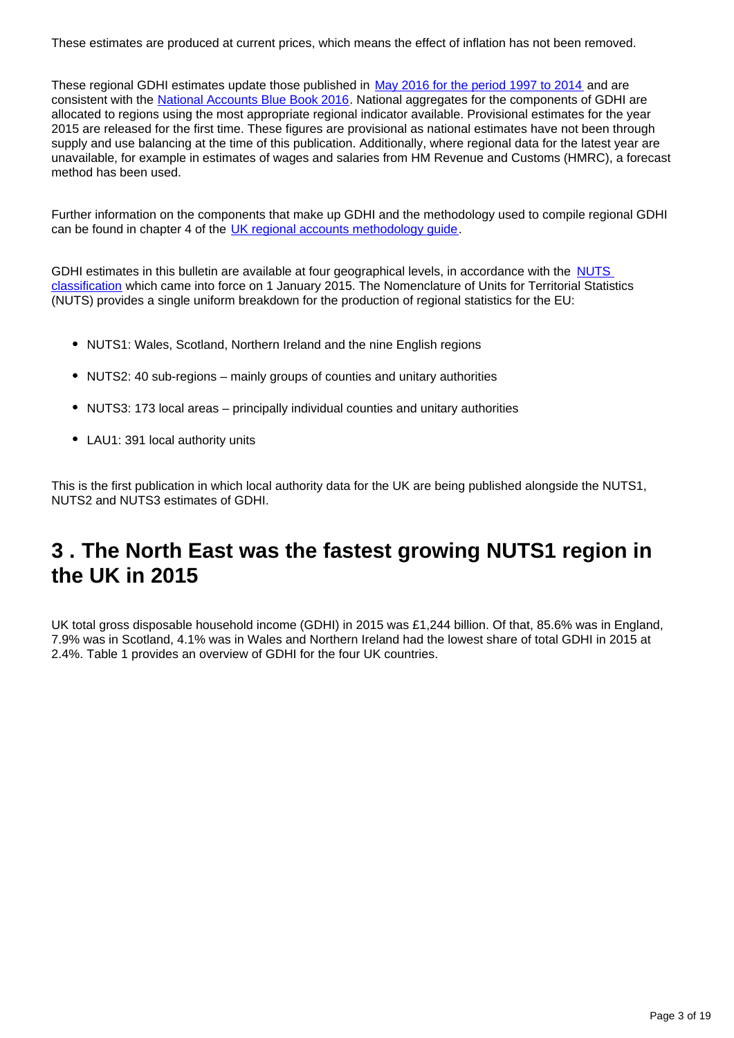These estimates are produced at current prices, which means the effect of inflation has not been removed.

These regional GDHI estimates update those published in [May 2016 for the period 1997 to 2014](https://www.ons.gov.uk/economy/regionalaccounts/grossdisposablehouseholdincome/bulletins/regionalgrossdisposablehouseholdincomegdhi/2014) and are consistent with the [National Accounts Blue Book 2016.](https://www.ons.gov.uk/economy/grossdomesticproductgdp/compendium/unitedkingdomnationalaccountsthebluebook/2016edition) National aggregates for the components of GDHI are allocated to regions using the most appropriate regional indicator available. Provisional estimates for the year 2015 are released for the first time. These figures are provisional as national estimates have not been through supply and use balancing at the time of this publication. Additionally, where regional data for the latest year are unavailable, for example in estimates of wages and salaries from HM Revenue and Customs (HMRC), a forecast method has been used.

Further information on the components that make up GDHI and the methodology used to compile regional GDHI can be found in chapter 4 of the [UK regional accounts methodology guide](https://www.ons.gov.uk/file?uri=/economy/regionalaccounts/grossdisposablehouseholdincome/methodologies/regionalaccounts/regionalaccountsmethodologyguideaugust2016.pdf).

GDHI estimates in this bulletin are available at four geographical levels, in accordance with the NUTS [classification](https://www.ons.gov.uk/methodology/geography/geographicalproducts/namescodesandlookups/namesandcodeslistings/namesandcodesforeurostatgeography) which came into force on 1 January 2015. The Nomenclature of Units for Territorial Statistics (NUTS) provides a single uniform breakdown for the production of regional statistics for the EU:

- NUTS1: Wales, Scotland, Northern Ireland and the nine English regions
- NUTS2: 40 sub-regions mainly groups of counties and unitary authorities
- NUTS3: 173 local areas principally individual counties and unitary authorities
- LAU1: 391 local authority units

This is the first publication in which local authority data for the UK are being published alongside the NUTS1, NUTS2 and NUTS3 estimates of GDHI.

### <span id="page-2-0"></span>**3 . The North East was the fastest growing NUTS1 region in the UK in 2015**

UK total gross disposable household income (GDHI) in 2015 was £1,244 billion. Of that, 85.6% was in England, 7.9% was in Scotland, 4.1% was in Wales and Northern Ireland had the lowest share of total GDHI in 2015 at 2.4%. Table 1 provides an overview of GDHI for the four UK countries.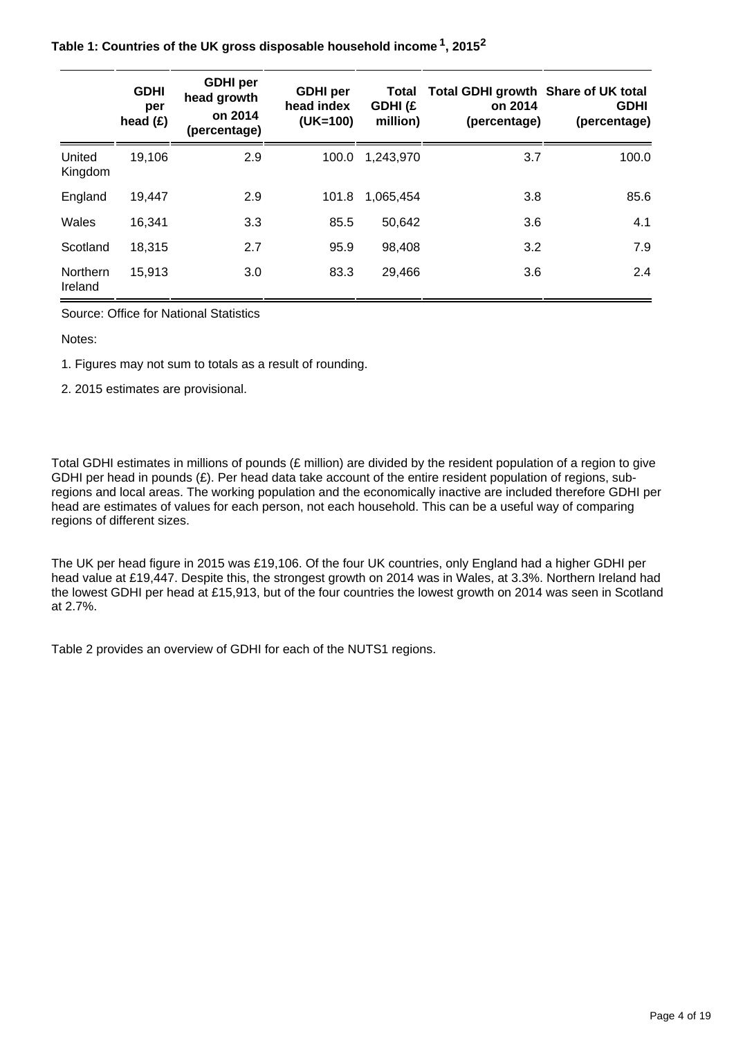**Table 1: Countries of the UK gross disposable household income , 2015 <sup>1</sup> <sup>2</sup>**

|                     | <b>GDHI</b><br>per<br>head $(E)$ | <b>GDHI</b> per<br>head growth<br>on 2014<br>(percentage) | <b>GDHI</b> per<br>head index<br>$(UK=100)$ | Total<br>GDHI(£<br>million) | Total GDHI growth Share of UK total<br>on 2014<br>(percentage) | <b>GDHI</b><br>(percentage) |
|---------------------|----------------------------------|-----------------------------------------------------------|---------------------------------------------|-----------------------------|----------------------------------------------------------------|-----------------------------|
| United<br>Kingdom   | 19,106                           | 2.9                                                       | 100.0                                       | 1,243,970                   | 3.7                                                            | 100.0                       |
| England             | 19,447                           | 2.9                                                       | 101.8                                       | 1,065,454                   | 3.8                                                            | 85.6                        |
| Wales               | 16,341                           | 3.3                                                       | 85.5                                        | 50,642                      | 3.6                                                            | 4.1                         |
| Scotland            | 18,315                           | 2.7                                                       | 95.9                                        | 98,408                      | 3.2                                                            | 7.9                         |
| Northern<br>Ireland | 15,913                           | 3.0                                                       | 83.3                                        | 29,466                      | 3.6                                                            | 2.4                         |

Source: Office for National Statistics

Notes:

1. Figures may not sum to totals as a result of rounding.

2. 2015 estimates are provisional.

Total GDHI estimates in millions of pounds (£ million) are divided by the resident population of a region to give GDHI per head in pounds (£). Per head data take account of the entire resident population of regions, subregions and local areas. The working population and the economically inactive are included therefore GDHI per head are estimates of values for each person, not each household. This can be a useful way of comparing regions of different sizes.

The UK per head figure in 2015 was £19,106. Of the four UK countries, only England had a higher GDHI per head value at £19,447. Despite this, the strongest growth on 2014 was in Wales, at 3.3%. Northern Ireland had the lowest GDHI per head at £15,913, but of the four countries the lowest growth on 2014 was seen in Scotland at 2.7%.

Table 2 provides an overview of GDHI for each of the NUTS1 regions.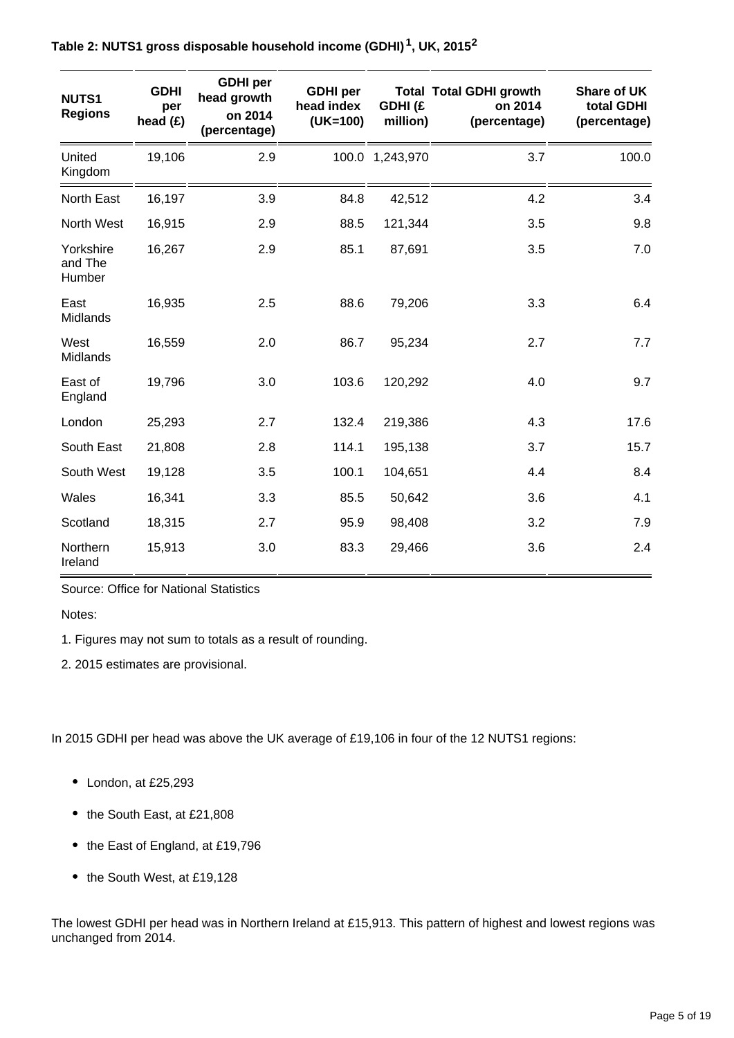| <b>NUTS1</b><br><b>Regions</b> | <b>GDHI</b><br>per<br>head $(E)$ | <b>GDHI</b> per<br>head growth<br>on 2014<br>(percentage) | <b>GDHI</b> per<br>head index<br>$(UK=100)$ | <b>GDHI</b> (£<br>million) | <b>Total Total GDHI growth</b><br>on 2014<br>(percentage) | <b>Share of UK</b><br>total GDHI<br>(percentage) |
|--------------------------------|----------------------------------|-----------------------------------------------------------|---------------------------------------------|----------------------------|-----------------------------------------------------------|--------------------------------------------------|
| United<br>Kingdom              | 19,106                           | 2.9                                                       |                                             | 100.0 1,243,970            | 3.7                                                       | 100.0                                            |
| North East                     | 16,197                           | 3.9                                                       | 84.8                                        | 42,512                     | 4.2                                                       | 3.4                                              |
| North West                     | 16,915                           | 2.9                                                       | 88.5                                        | 121,344                    | 3.5                                                       | 9.8                                              |
| Yorkshire<br>and The<br>Humber | 16,267                           | 2.9                                                       | 85.1                                        | 87,691                     | 3.5                                                       | 7.0                                              |
| East<br>Midlands               | 16,935                           | 2.5                                                       | 88.6                                        | 79,206                     | 3.3                                                       | 6.4                                              |
| West<br>Midlands               | 16,559                           | 2.0                                                       | 86.7                                        | 95,234                     | 2.7                                                       | 7.7                                              |
| East of<br>England             | 19,796                           | 3.0                                                       | 103.6                                       | 120,292                    | 4.0                                                       | 9.7                                              |
| London                         | 25,293                           | 2.7                                                       | 132.4                                       | 219,386                    | 4.3                                                       | 17.6                                             |
| South East                     | 21,808                           | 2.8                                                       | 114.1                                       | 195,138                    | 3.7                                                       | 15.7                                             |
| South West                     | 19,128                           | 3.5                                                       | 100.1                                       | 104,651                    | 4.4                                                       | 8.4                                              |
| Wales                          | 16,341                           | 3.3                                                       | 85.5                                        | 50,642                     | 3.6                                                       | 4.1                                              |
| Scotland                       | 18,315                           | 2.7                                                       | 95.9                                        | 98,408                     | 3.2                                                       | 7.9                                              |
| Northern<br>Ireland            | 15,913                           | 3.0                                                       | 83.3                                        | 29,466                     | 3.6                                                       | 2.4                                              |

**Table 2: NUTS1 gross disposable household income (GDHI) , UK, 2015 <sup>1</sup> <sup>2</sup>**

Source: Office for National Statistics

Notes:

1. Figures may not sum to totals as a result of rounding.

2. 2015 estimates are provisional.

In 2015 GDHI per head was above the UK average of £19,106 in four of the 12 NUTS1 regions:

- London, at £25,293
- the South East, at £21,808
- the East of England, at £19,796
- the South West, at £19,128

The lowest GDHI per head was in Northern Ireland at £15,913. This pattern of highest and lowest regions was unchanged from 2014.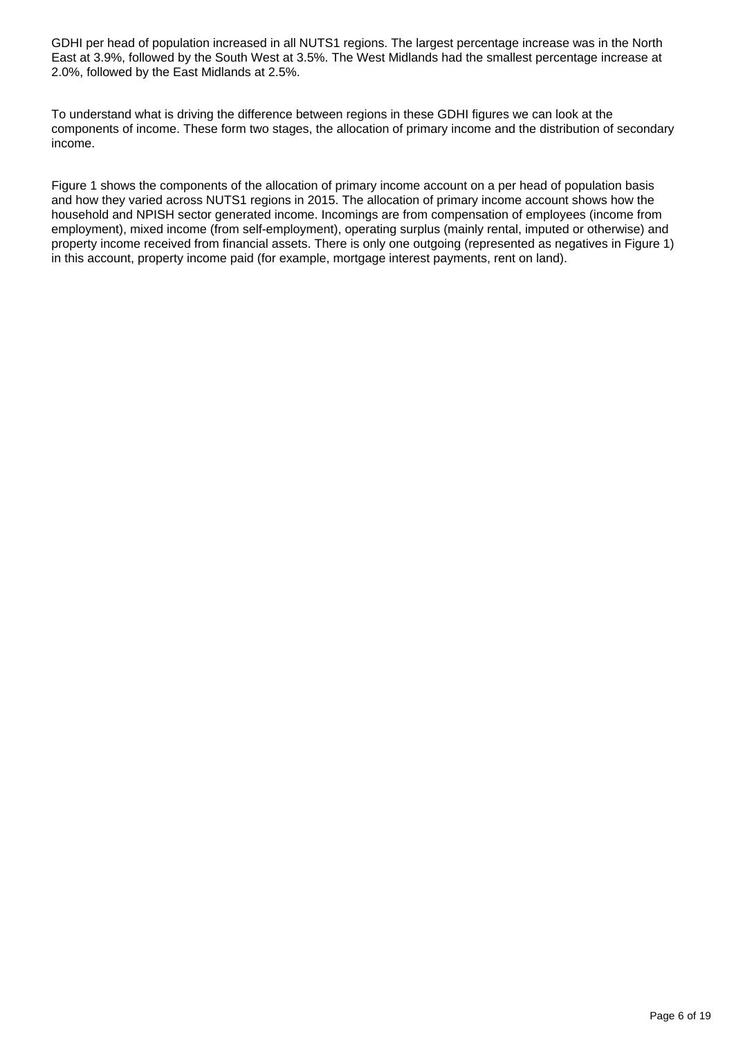GDHI per head of population increased in all NUTS1 regions. The largest percentage increase was in the North East at 3.9%, followed by the South West at 3.5%. The West Midlands had the smallest percentage increase at 2.0%, followed by the East Midlands at 2.5%.

To understand what is driving the difference between regions in these GDHI figures we can look at the components of income. These form two stages, the allocation of primary income and the distribution of secondary income.

Figure 1 shows the components of the allocation of primary income account on a per head of population basis and how they varied across NUTS1 regions in 2015. The allocation of primary income account shows how the household and NPISH sector generated income. Incomings are from compensation of employees (income from employment), mixed income (from self-employment), operating surplus (mainly rental, imputed or otherwise) and property income received from financial assets. There is only one outgoing (represented as negatives in Figure 1) in this account, property income paid (for example, mortgage interest payments, rent on land).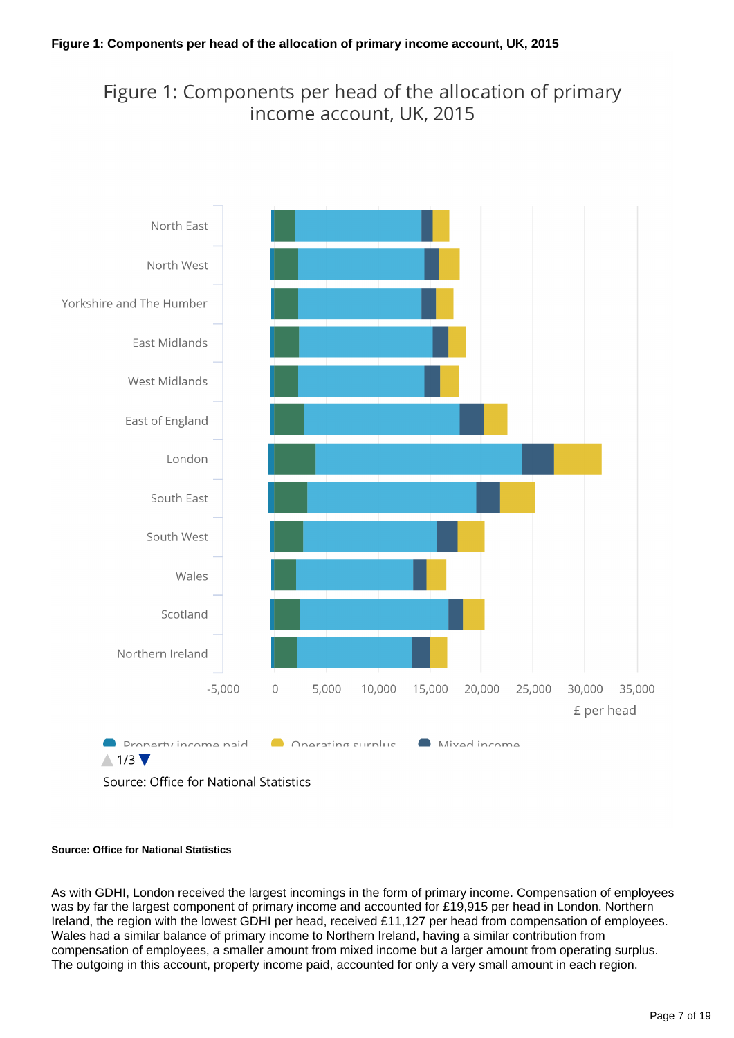### Figure 1: Components per head of the allocation of primary income account, UK, 2015



#### **Source: Office for National Statistics**

As with GDHI, London received the largest incomings in the form of primary income. Compensation of employees was by far the largest component of primary income and accounted for £19,915 per head in London. Northern Ireland, the region with the lowest GDHI per head, received £11,127 per head from compensation of employees. Wales had a similar balance of primary income to Northern Ireland, having a similar contribution from compensation of employees, a smaller amount from mixed income but a larger amount from operating surplus. The outgoing in this account, property income paid, accounted for only a very small amount in each region.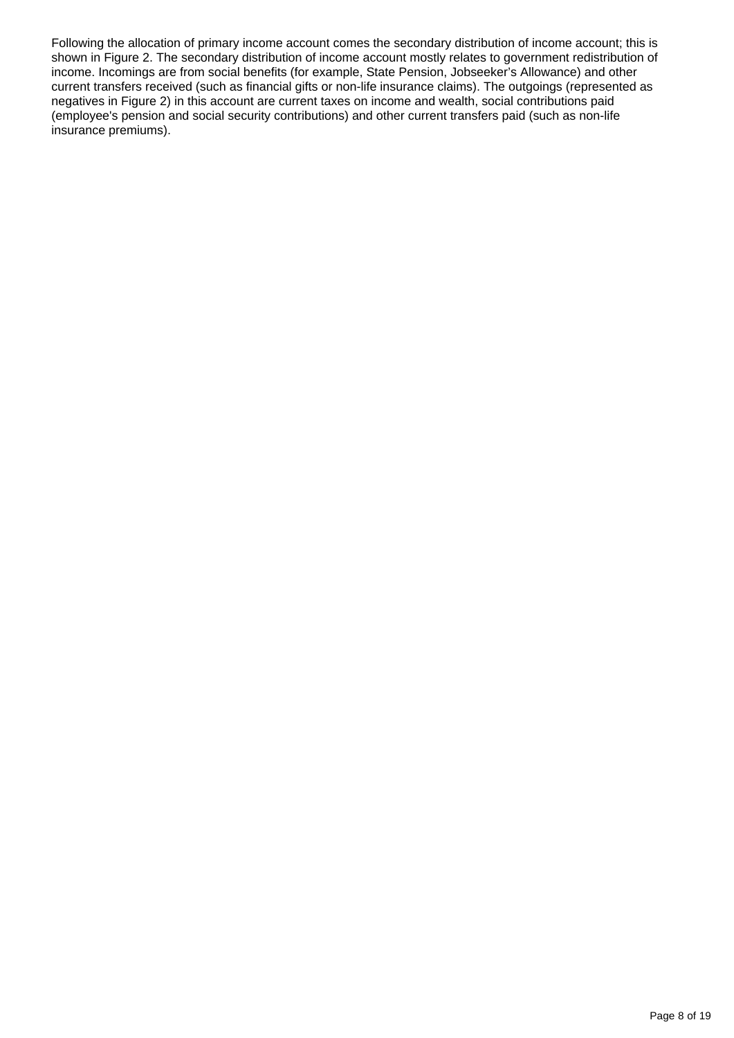Following the allocation of primary income account comes the secondary distribution of income account; this is shown in Figure 2. The secondary distribution of income account mostly relates to government redistribution of income. Incomings are from social benefits (for example, State Pension, Jobseeker's Allowance) and other current transfers received (such as financial gifts or non-life insurance claims). The outgoings (represented as negatives in Figure 2) in this account are current taxes on income and wealth, social contributions paid (employee's pension and social security contributions) and other current transfers paid (such as non-life insurance premiums).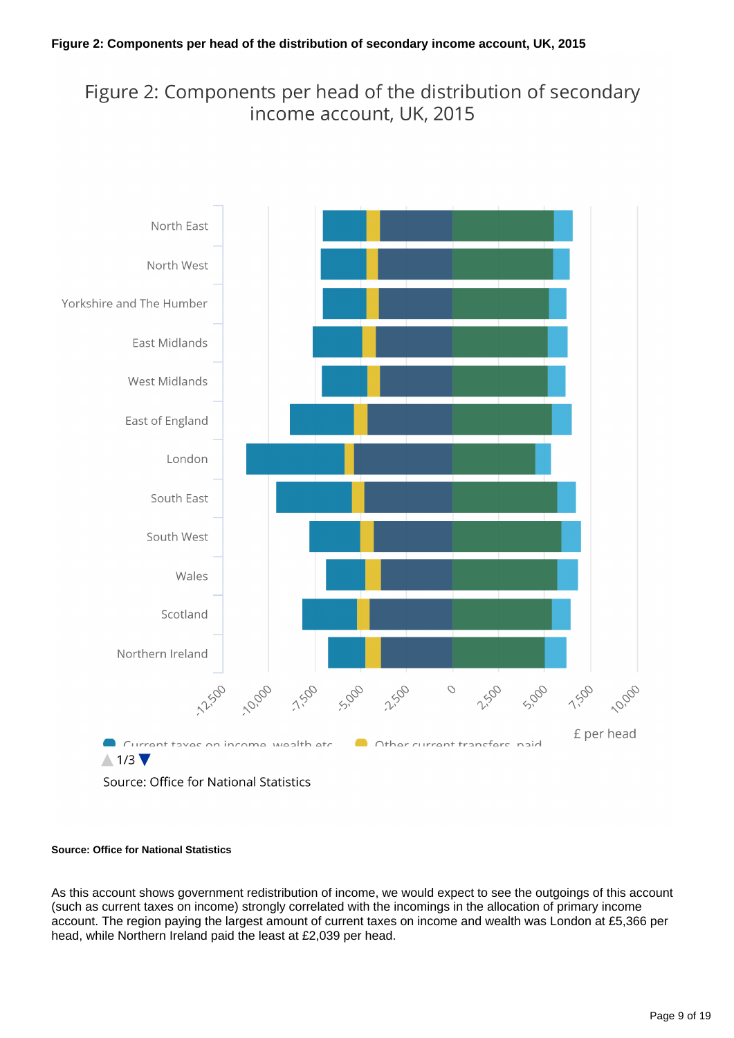### Figure 2: Components per head of the distribution of secondary income account, UK, 2015



Source: Office for National Statistics

#### **Source: Office for National Statistics**

As this account shows government redistribution of income, we would expect to see the outgoings of this account (such as current taxes on income) strongly correlated with the incomings in the allocation of primary income account. The region paying the largest amount of current taxes on income and wealth was London at £5,366 per head, while Northern Ireland paid the least at £2,039 per head.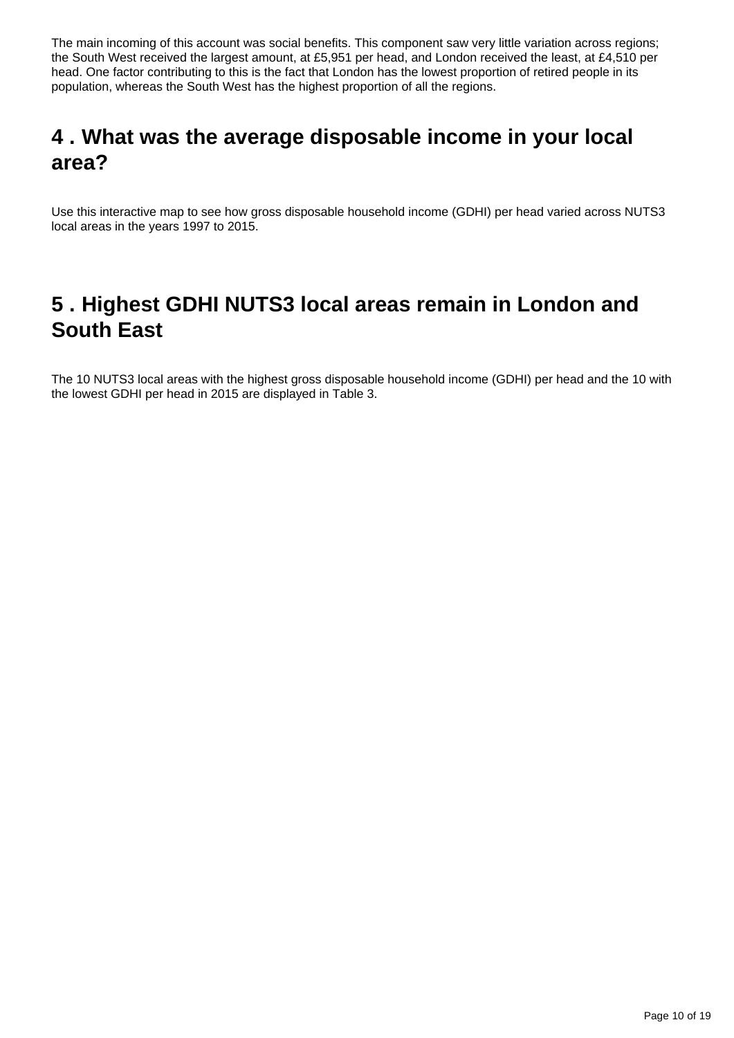The main incoming of this account was social benefits. This component saw very little variation across regions; the South West received the largest amount, at £5,951 per head, and London received the least, at £4,510 per head. One factor contributing to this is the fact that London has the lowest proportion of retired people in its population, whereas the South West has the highest proportion of all the regions.

## <span id="page-9-0"></span>**4 . What was the average disposable income in your local area?**

Use this interactive map to see how gross disposable household income (GDHI) per head varied across NUTS3 local areas in the years 1997 to 2015.

## <span id="page-9-1"></span>**5 . Highest GDHI NUTS3 local areas remain in London and South East**

The 10 NUTS3 local areas with the highest gross disposable household income (GDHI) per head and the 10 with the lowest GDHI per head in 2015 are displayed in Table 3.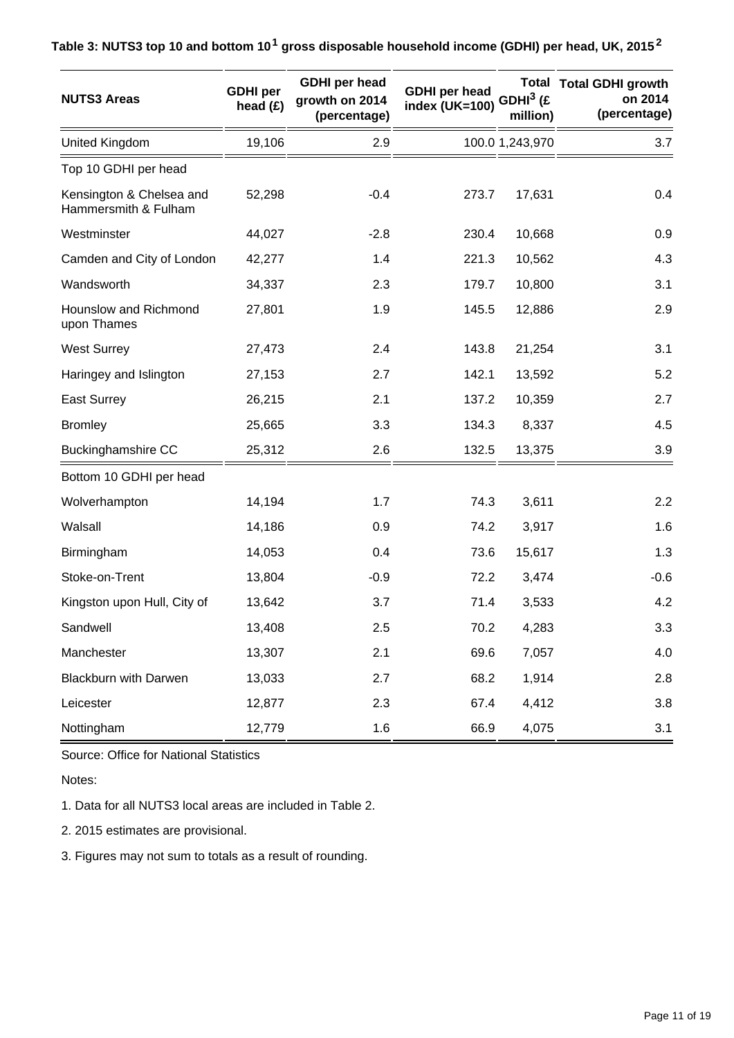| <b>NUTS3 Areas</b>                               | <b>GDHI</b> per<br>head $(E)$ | <b>GDHI</b> per head<br>growth on 2014<br>(percentage) | <b>GDHI</b> per head<br>index (UK=100) | GDHI <sup>3</sup> (£<br>million) | <b>Total Total GDHI growth</b><br>on 2014<br>(percentage) |
|--------------------------------------------------|-------------------------------|--------------------------------------------------------|----------------------------------------|----------------------------------|-----------------------------------------------------------|
| United Kingdom                                   | 19,106                        | 2.9                                                    |                                        | 100.0 1,243,970                  | 3.7                                                       |
| Top 10 GDHI per head                             |                               |                                                        |                                        |                                  |                                                           |
| Kensington & Chelsea and<br>Hammersmith & Fulham | 52,298                        | $-0.4$                                                 | 273.7                                  | 17,631                           | 0.4                                                       |
| Westminster                                      | 44,027                        | $-2.8$                                                 | 230.4                                  | 10,668                           | 0.9                                                       |
| Camden and City of London                        | 42,277                        | 1.4                                                    | 221.3                                  | 10,562                           | 4.3                                                       |
| Wandsworth                                       | 34,337                        | 2.3                                                    | 179.7                                  | 10,800                           | 3.1                                                       |
| Hounslow and Richmond<br>upon Thames             | 27,801                        | 1.9                                                    | 145.5                                  | 12,886                           | 2.9                                                       |
| <b>West Surrey</b>                               | 27,473                        | 2.4                                                    | 143.8                                  | 21,254                           | 3.1                                                       |
| Haringey and Islington                           | 27,153                        | 2.7                                                    | 142.1                                  | 13,592                           | 5.2                                                       |
| <b>East Surrey</b>                               | 26,215                        | 2.1                                                    | 137.2                                  | 10,359                           | 2.7                                                       |
| <b>Bromley</b>                                   | 25,665                        | 3.3                                                    | 134.3                                  | 8,337                            | 4.5                                                       |
| <b>Buckinghamshire CC</b>                        | 25,312                        | 2.6                                                    | 132.5                                  | 13,375                           | 3.9                                                       |
| Bottom 10 GDHI per head                          |                               |                                                        |                                        |                                  |                                                           |
| Wolverhampton                                    | 14,194                        | 1.7                                                    | 74.3                                   | 3,611                            | 2.2                                                       |
| Walsall                                          | 14,186                        | 0.9                                                    | 74.2                                   | 3,917                            | 1.6                                                       |
| Birmingham                                       | 14,053                        | 0.4                                                    | 73.6                                   | 15,617                           | 1.3                                                       |
| Stoke-on-Trent                                   | 13,804                        | $-0.9$                                                 | 72.2                                   | 3,474                            | $-0.6$                                                    |
| Kingston upon Hull, City of                      | 13,642                        | 3.7                                                    | 71.4                                   | 3,533                            | 4.2                                                       |
| Sandwell                                         | 13,408                        | 2.5                                                    | 70.2                                   | 4,283                            | 3.3                                                       |
| Manchester                                       | 13,307                        | 2.1                                                    | 69.6                                   | 7,057                            | 4.0                                                       |
| <b>Blackburn with Darwen</b>                     | 13,033                        | 2.7                                                    | 68.2                                   | 1,914                            | 2.8                                                       |
| Leicester                                        | 12,877                        | 2.3                                                    | 67.4                                   | 4,412                            | 3.8                                                       |
| Nottingham                                       | 12,779                        | 1.6                                                    | 66.9                                   | 4,075                            | 3.1                                                       |

Source: Office for National Statistics

Notes:

1. Data for all NUTS3 local areas are included in Table 2.

2. 2015 estimates are provisional.

3. Figures may not sum to totals as a result of rounding.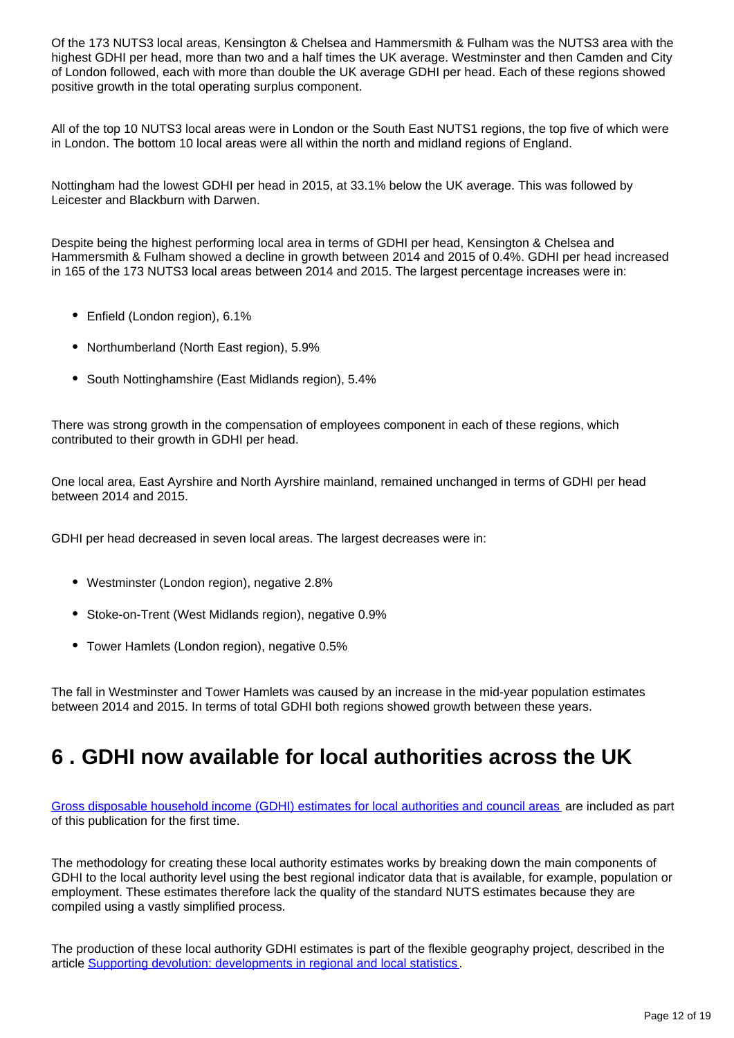Of the 173 NUTS3 local areas, Kensington & Chelsea and Hammersmith & Fulham was the NUTS3 area with the highest GDHI per head, more than two and a half times the UK average. Westminster and then Camden and City of London followed, each with more than double the UK average GDHI per head. Each of these regions showed positive growth in the total operating surplus component.

All of the top 10 NUTS3 local areas were in London or the South East NUTS1 regions, the top five of which were in London. The bottom 10 local areas were all within the north and midland regions of England.

Nottingham had the lowest GDHI per head in 2015, at 33.1% below the UK average. This was followed by Leicester and Blackburn with Darwen.

Despite being the highest performing local area in terms of GDHI per head, Kensington & Chelsea and Hammersmith & Fulham showed a decline in growth between 2014 and 2015 of 0.4%. GDHI per head increased in 165 of the 173 NUTS3 local areas between 2014 and 2015. The largest percentage increases were in:

- Enfield (London region), 6.1%
- Northumberland (North East region), 5.9%
- South Nottinghamshire (East Midlands region), 5.4%

There was strong growth in the compensation of employees component in each of these regions, which contributed to their growth in GDHI per head.

One local area, East Ayrshire and North Ayrshire mainland, remained unchanged in terms of GDHI per head between 2014 and 2015.

GDHI per head decreased in seven local areas. The largest decreases were in:

- Westminster (London region), negative 2.8%
- Stoke-on-Trent (West Midlands region), negative 0.9%
- Tower Hamlets (London region), negative 0.5%

The fall in Westminster and Tower Hamlets was caused by an increase in the mid-year population estimates between 2014 and 2015. In terms of total GDHI both regions showed growth between these years.

## <span id="page-11-0"></span>**6 . GDHI now available for local authorities across the UK**

[Gross disposable household income \(GDHI\) estimates for local authorities and council areas](https://www.ons.gov.uk/economy/regionalaccounts/grossdisposablehouseholdincome/datasets/regionalgrossdisposablehouseholdincomegdhibylocalauthorityintheuk) are included as part of this publication for the first time.

The methodology for creating these local authority estimates works by breaking down the main components of GDHI to the local authority level using the best regional indicator data that is available, for example, population or employment. These estimates therefore lack the quality of the standard NUTS estimates because they are compiled using a vastly simplified process.

The production of these local authority GDHI estimates is part of the flexible geography project, described in the article [Supporting devolution: developments in regional and local statistics](https://www.ons.gov.uk/economy/regionalaccounts/grossdisposablehouseholdincome/articles/supportingdevolutiondevelopmentsinregionalandlocalstatistics/2016-05-25).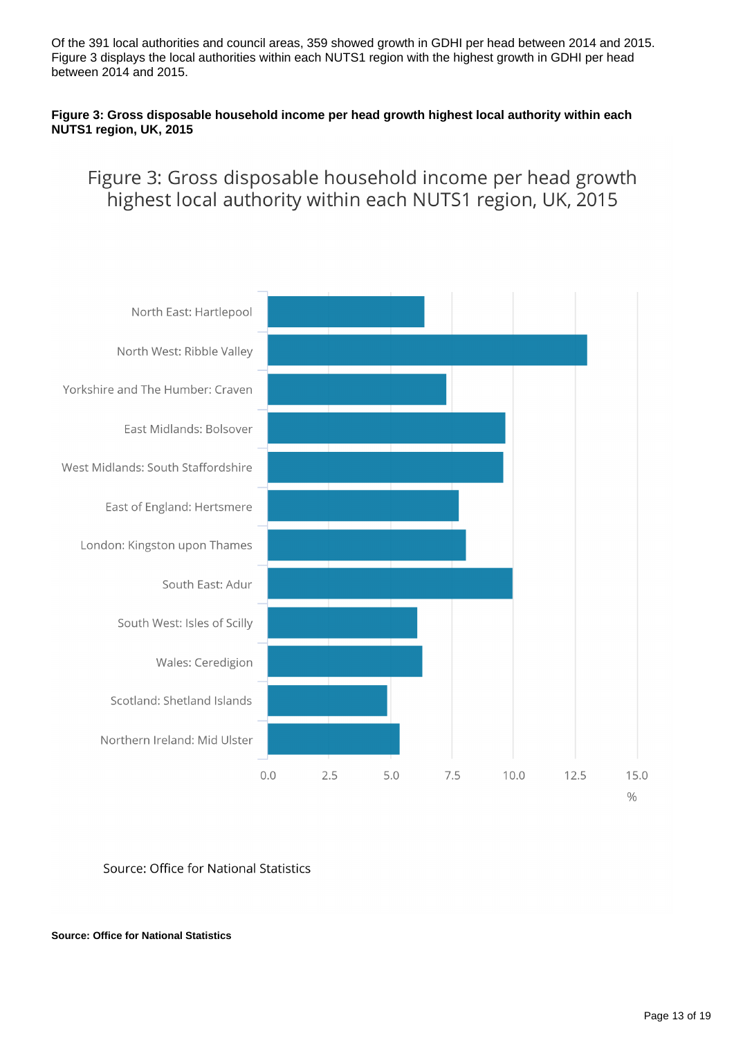Of the 391 local authorities and council areas, 359 showed growth in GDHI per head between 2014 and 2015. Figure 3 displays the local authorities within each NUTS1 region with the highest growth in GDHI per head between 2014 and 2015.

#### **Figure 3: Gross disposable household income per head growth highest local authority within each NUTS1 region, UK, 2015**

### Figure 3: Gross disposable household income per head growth highest local authority within each NUTS1 region, UK, 2015



Source: Office for National Statistics

**Source: Office for National Statistics**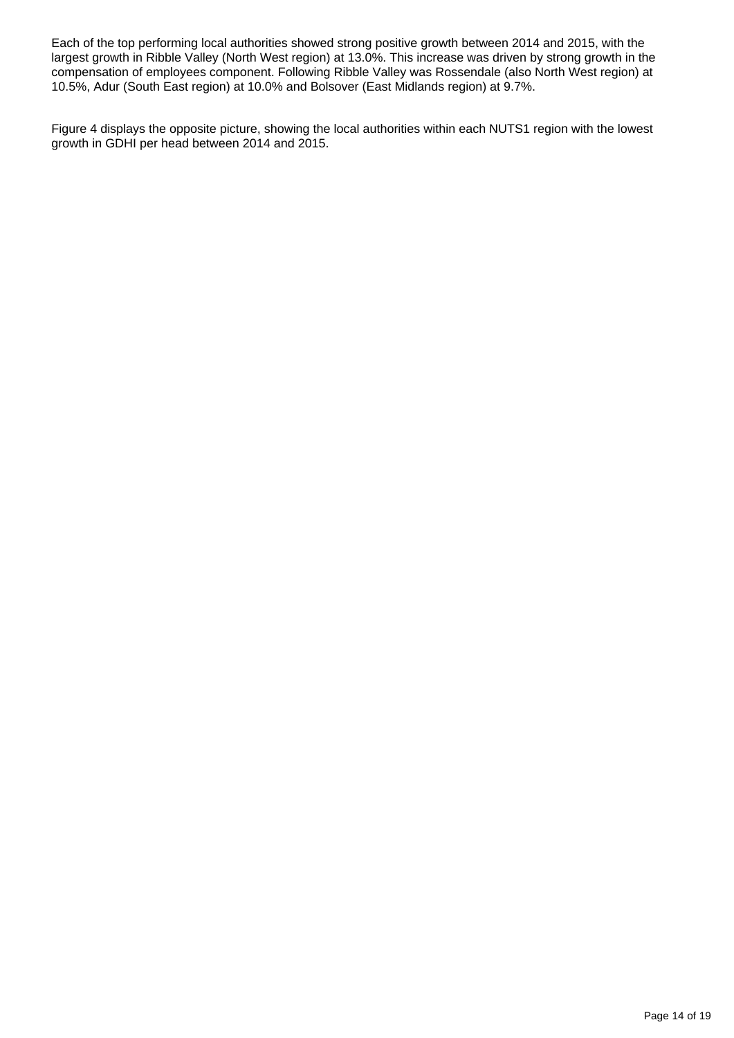Each of the top performing local authorities showed strong positive growth between 2014 and 2015, with the largest growth in Ribble Valley (North West region) at 13.0%. This increase was driven by strong growth in the compensation of employees component. Following Ribble Valley was Rossendale (also North West region) at 10.5%, Adur (South East region) at 10.0% and Bolsover (East Midlands region) at 9.7%.

Figure 4 displays the opposite picture, showing the local authorities within each NUTS1 region with the lowest growth in GDHI per head between 2014 and 2015.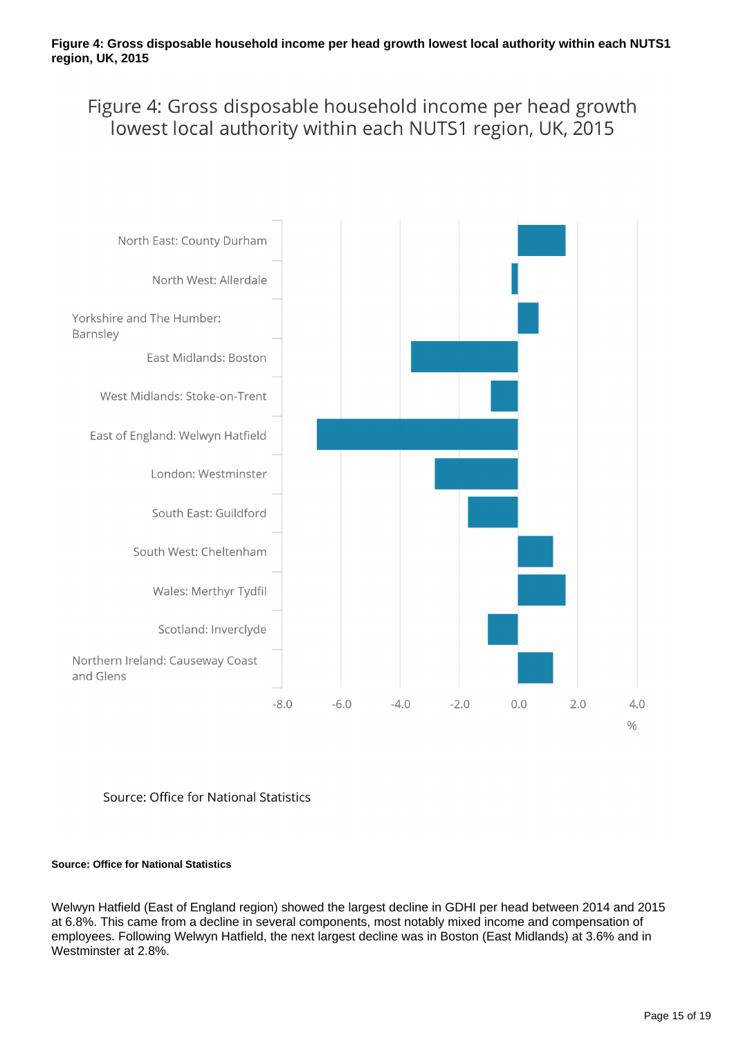Figure 4: Gross disposable household income per head growth lowest local authority within each NUTS1 region, UK, 2015



#### Source: Office for National Statistics

#### **Source: Office for National Statistics**

Welwyn Hatfield (East of England region) showed the largest decline in GDHI per head between 2014 and 2015 at 6.8%. This came from a decline in several components, most notably mixed income and compensation of employees. Following Welwyn Hatfield, the next largest decline was in Boston (East Midlands) at 3.6% and in Westminster at 2.8%.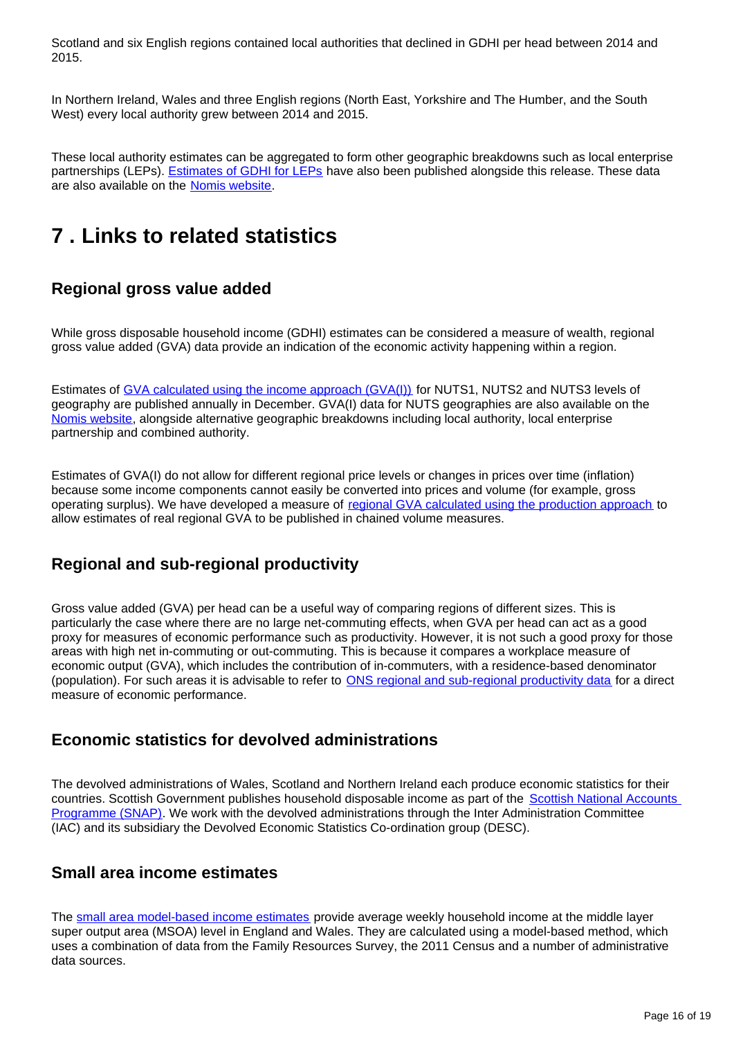Scotland and six English regions contained local authorities that declined in GDHI per head between 2014 and 2015.

In Northern Ireland, Wales and three English regions (North East, Yorkshire and The Humber, and the South West) every local authority grew between 2014 and 2015.

These local authority estimates can be aggregated to form other geographic breakdowns such as local enterprise partnerships (LEPs). [Estimates of GDHI for LEPs](https://www.ons.gov.uk/economy/regionalaccounts/grossdisposablehouseholdincome/datasets/regionalgrossdisposablehouseholdincomegdhibylocalenterprisepartnership) have also been published alongside this release. These data are also available on the [Nomis website](https://www.nomisweb.co.uk/query/select/getdatasetbytheme.asp?opt=3&theme=&subgrp=).

## <span id="page-15-0"></span>**7 . Links to related statistics**

### **Regional gross value added**

While gross disposable household income (GDHI) estimates can be considered a measure of wealth, regional gross value added (GVA) data provide an indication of the economic activity happening within a region.

Estimates of [GVA calculated using the income approach \(GVA\(I\)\)](https://www.ons.gov.uk/economy/grossvalueaddedgva/bulletins/regionalgrossvalueaddedincomeapproach/december2016) for NUTS1, NUTS2 and NUTS3 levels of geography are published annually in December. GVA(I) data for NUTS geographies are also available on the [Nomis website,](https://www.nomisweb.co.uk/) alongside alternative geographic breakdowns including local authority, local enterprise partnership and combined authority.

Estimates of GVA(I) do not allow for different regional price levels or changes in prices over time (inflation) because some income components cannot easily be converted into prices and volume (for example, gross operating surplus). We have developed a measure of [regional GVA calculated using the production approach](https://www.ons.gov.uk/economy/grossvalueaddedgva/bulletins/regionalgrossvalueaddedproductionapproach/1998to2014) to allow estimates of real regional GVA to be published in chained volume measures.

### **Regional and sub-regional productivity**

Gross value added (GVA) per head can be a useful way of comparing regions of different sizes. This is particularly the case where there are no large net-commuting effects, when GVA per head can act as a good proxy for measures of economic performance such as productivity. However, it is not such a good proxy for those areas with high net in-commuting or out-commuting. This is because it compares a workplace measure of economic output (GVA), which includes the contribution of in-commuters, with a residence-based denominator (population). For such areas it is advisable to refer to [ONS regional and sub-regional productivity data](https://www.ons.gov.uk/employmentandlabourmarket/peopleinwork/labourproductivity/articles/regionalandsubregionalproductivityintheuk/jan2017) for a direct measure of economic performance.

### **Economic statistics for devolved administrations**

The devolved administrations of Wales, Scotland and Northern Ireland each produce economic statistics for their countries. Scottish Government publishes household disposable income as part of the [Scottish National Accounts](http://www.gov.scot/Topics/Statistics/Browse/Economy/SNAP)  [Programme \(SNAP\).](http://www.gov.scot/Topics/Statistics/Browse/Economy/SNAP) We work with the devolved administrations through the Inter Administration Committee (IAC) and its subsidiary the Devolved Economic Statistics Co-ordination group (DESC).

### **Small area income estimates**

The [small area model-based income estimates](https://www.ons.gov.uk/peoplepopulationandcommunity/personalandhouseholdfinances/incomeandwealth/bulletins/smallareamodelbasedincomeestimates/financialyearending2014) provide average weekly household income at the middle layer super output area (MSOA) level in England and Wales. They are calculated using a model-based method, which uses a combination of data from the Family Resources Survey, the 2011 Census and a number of administrative data sources.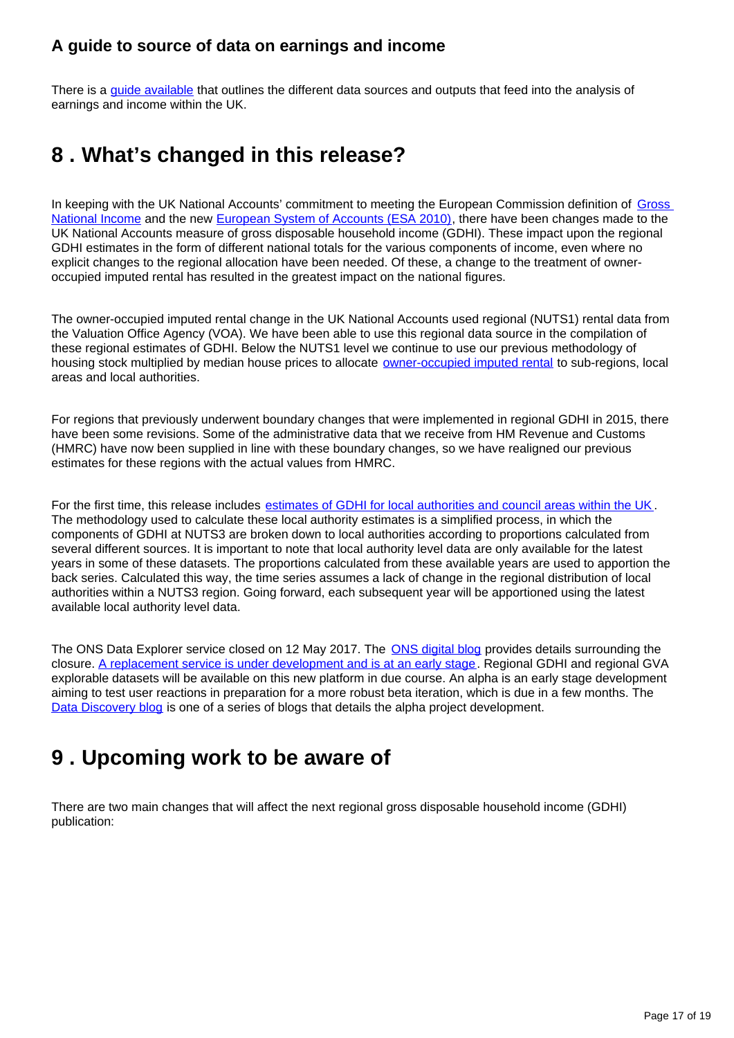### **A guide to source of data on earnings and income**

There is a [guide available](https://www.ons.gov.uk/employmentandlabourmarket/peopleinwork/earningsandworkinghours/methodologies/aguidetosourcesofdataonearningsandincome) that outlines the different data sources and outputs that feed into the analysis of earnings and income within the UK.

## <span id="page-16-0"></span>**8 . What's changed in this release?**

In keeping with the UK National Accounts' commitment to meeting the European Commission definition of [Gross](http://ec.europa.eu/eurostat/statistics-explained/index.php/Glossary:Gross_national_income_(GNI))  [National Income](http://ec.europa.eu/eurostat/statistics-explained/index.php/Glossary:Gross_national_income_(GNI)) and the new [European System of Accounts \(ESA 2010\),](http://ec.europa.eu/eurostat/web/products-manuals-and-guidelines/-/KS-02-13-269) there have been changes made to the UK National Accounts measure of gross disposable household income (GDHI). These impact upon the regional GDHI estimates in the form of different national totals for the various components of income, even where no explicit changes to the regional allocation have been needed. Of these, a change to the treatment of owneroccupied imputed rental has resulted in the greatest impact on the national figures.

The owner-occupied imputed rental change in the UK National Accounts used regional (NUTS1) rental data from the Valuation Office Agency (VOA). We have been able to use this regional data source in the compilation of these regional estimates of GDHI. Below the NUTS1 level we continue to use our previous methodology of housing stock multiplied by median house prices to allocate [owner-occupied imputed rental](https://www.ons.gov.uk/economy/nationalaccounts/uksectoraccounts/articles/changestonationalaccounts/imputedrental) to sub-regions, local areas and local authorities.

For regions that previously underwent boundary changes that were implemented in regional GDHI in 2015, there have been some revisions. Some of the administrative data that we receive from HM Revenue and Customs (HMRC) have now been supplied in line with these boundary changes, so we have realigned our previous estimates for these regions with the actual values from HMRC.

For the first time, this release includes [estimates of GDHI for local authorities and council areas within the UK.](https://www.ons.gov.uk/economy/regionalaccounts/grossdisposablehouseholdincome/datasets/regionalgrossdisposablehouseholdincomegdhibylocalauthorityintheuk) The methodology used to calculate these local authority estimates is a simplified process, in which the components of GDHI at NUTS3 are broken down to local authorities according to proportions calculated from several different sources. It is important to note that local authority level data are only available for the latest years in some of these datasets. The proportions calculated from these available years are used to apportion the back series. Calculated this way, the time series assumes a lack of change in the regional distribution of local authorities within a NUTS3 region. Going forward, each subsequent year will be apportioned using the latest available local authority level data.

The ONS Data Explorer service closed on 12 May 2017. The **ONS digital blog** provides details surrounding the closure. [A replacement service is under development and is at an early stage.](https://discovery.onsdigital.co.uk/datadiscovery/) Regional GDHI and regional GVA explorable datasets will be available on this new platform in due course. An alpha is an early stage development aiming to test user reactions in preparation for a more robust beta iteration, which is due in a few months. The [Data Discovery blog](https://digitalblog.ons.gov.uk/2017/04/12/data-discovery-end-of-alpha-phase/) is one of a series of blogs that details the alpha project development.

## <span id="page-16-1"></span>**9 . Upcoming work to be aware of**

There are two main changes that will affect the next regional gross disposable household income (GDHI) publication: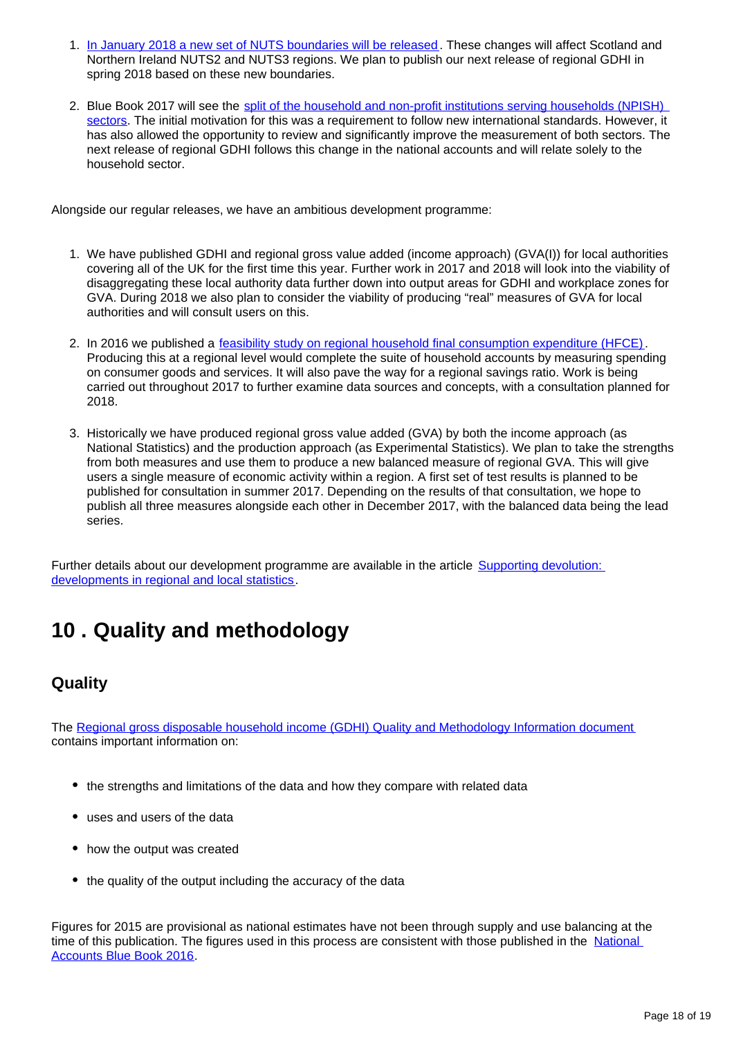- 1. [In January 2018 a new set of NUTS boundaries will be released](https://www.ons.gov.uk/methodology/geography/ukgeographies/eurostat). These changes will affect Scotland and Northern Ireland NUTS2 and NUTS3 regions. We plan to publish our next release of regional GDHI in spring 2018 based on these new boundaries.
- 2. Blue Book 2017 will see the split of the household and non-profit institutions serving households (NPISH). [sectors](https://www.ons.gov.uk/economy/nationalaccounts/uksectoraccounts/articles/nationalaccountsarticles/improvingthehouseholdprivatenonfinancialcorporationsandnonprofitsinstitutionsservinghouseholdssectorsnonfinancialaccounts). The initial motivation for this was a requirement to follow new international standards. However, it has also allowed the opportunity to review and significantly improve the measurement of both sectors. The next release of regional GDHI follows this change in the national accounts and will relate solely to the household sector.

Alongside our regular releases, we have an ambitious development programme:

- 1. We have published GDHI and regional gross value added (income approach) (GVA(I)) for local authorities covering all of the UK for the first time this year. Further work in 2017 and 2018 will look into the viability of disaggregating these local authority data further down into output areas for GDHI and workplace zones for GVA. During 2018 we also plan to consider the viability of producing "real" measures of GVA for local authorities and will consult users on this.
- 2. In 2016 we published a [feasibility study on regional household final consumption expenditure \(HFCE\)](https://www.ons.gov.uk/economy/regionalaccounts/grossdisposablehouseholdincome/articles/thefeasibilityofproducingregionalhouseholdfinalconsumptionexpenditureuk/2016). Producing this at a regional level would complete the suite of household accounts by measuring spending on consumer goods and services. It will also pave the way for a regional savings ratio. Work is being carried out throughout 2017 to further examine data sources and concepts, with a consultation planned for 2018.
- 3. Historically we have produced regional gross value added (GVA) by both the income approach (as National Statistics) and the production approach (as Experimental Statistics). We plan to take the strengths from both measures and use them to produce a new balanced measure of regional GVA. This will give users a single measure of economic activity within a region. A first set of test results is planned to be published for consultation in summer 2017. Depending on the results of that consultation, we hope to publish all three measures alongside each other in December 2017, with the balanced data being the lead series.

Further details about our development programme are available in the article **Supporting devolution:** [developments in regional and local statistics.](https://www.ons.gov.uk/economy/regionalaccounts/grossdisposablehouseholdincome/articles/supportingdevolutiondevelopmentsinregionalandlocalstatistics/2016-05-25)

## <span id="page-17-0"></span>**10 . Quality and methodology**

### **Quality**

The [Regional gross disposable household income \(GDHI\) Quality and Methodology Information document](https://www.ons.gov.uk/economy/regionalaccounts/grossdisposablehouseholdincome/qmis/regionalgrossdisposablehouseholdincomeqmi) contains important information on:

- the strengths and limitations of the data and how they compare with related data
- uses and users of the data
- how the output was created
- the quality of the output including the accuracy of the data

Figures for 2015 are provisional as national estimates have not been through supply and use balancing at the time of this publication. The figures used in this process are consistent with those published in the National [Accounts Blue Book 2016.](https://www.ons.gov.uk/economy/grossdomesticproductgdp/compendium/unitedkingdomnationalaccountsthebluebook/2016edition)